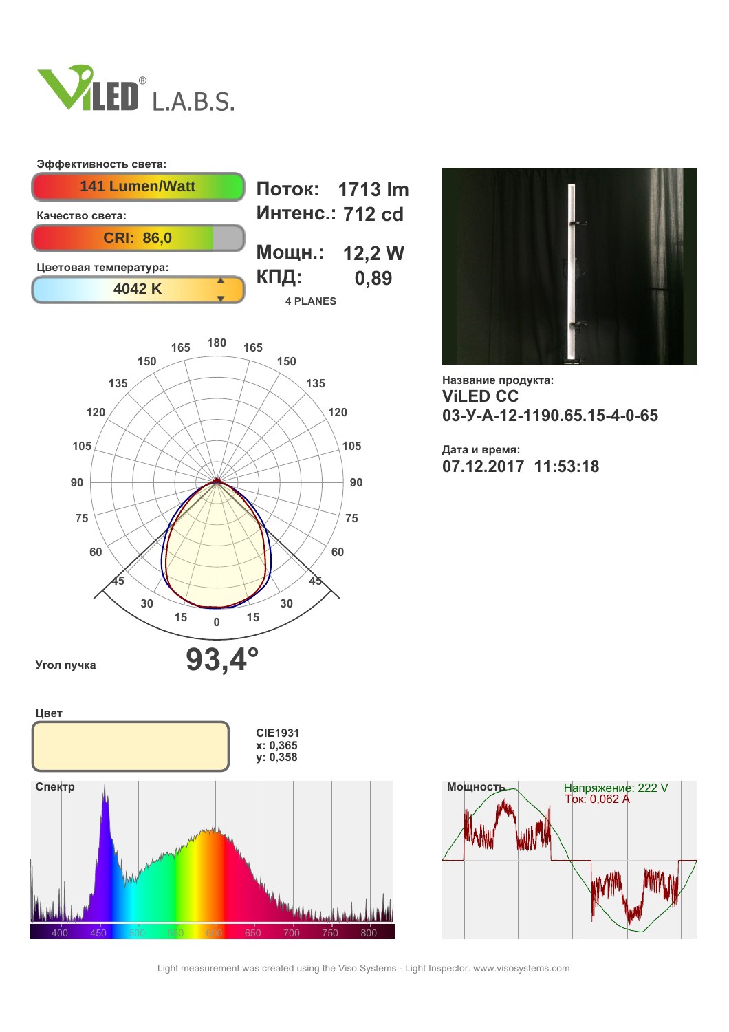

## **Эффективность света:**







**Название продукта: ViLED СС 03-У-А-12-1190.65.15-4-0-65**

**Дата и время: 07.12.2017 11:53:18**





Light measurement was created using the Viso Systems - Light Inspector. www.visosystems.com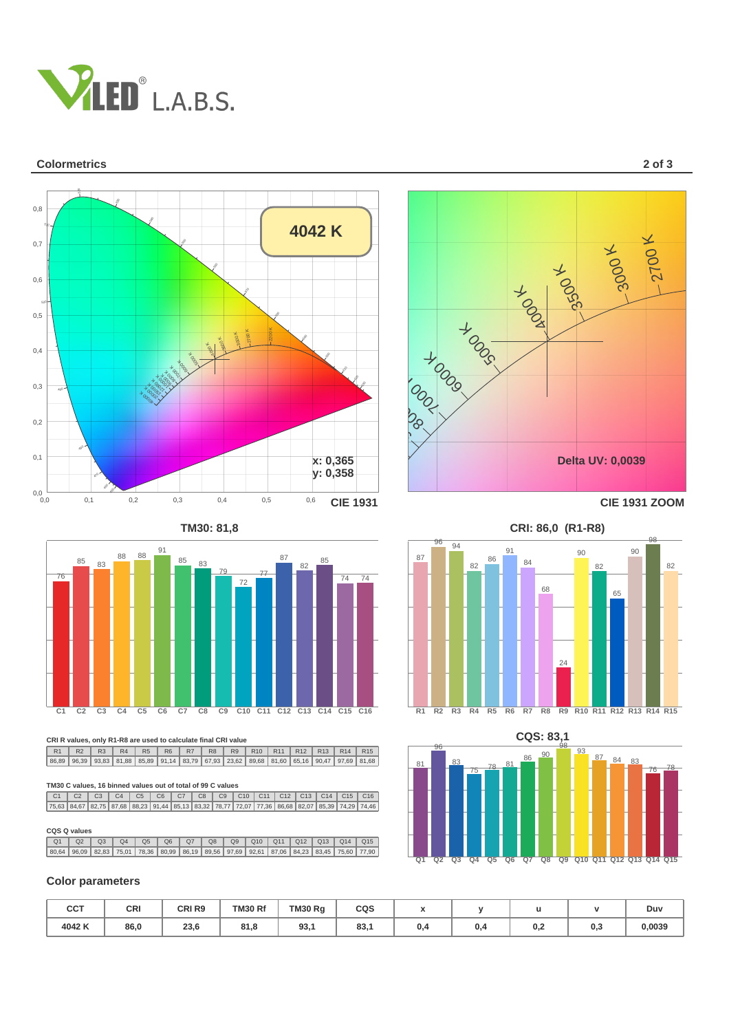

#### **Colormetrics 2 of 3**



**TM30: 81,8 CRI: 86,0 (R1-R8)**



**CRI R values, only R1-R8 are used to calculate final CRI value**

R1 | R2 | R3 | R4 | R5 | R6 | R7 | R8 | R9 | R10 | R11 | R12 | R13 | R14 | R15 86,89 | 96,39 | 93,83 | 81,88 | 85,89 | 91,14 | 83,79 | 67,93 | 23,62 | 89,68 | 81,60 | 65,16 | 90,47 | 97,69 | 81,68

# 470 **TM30 C values, 16 binned values out of total of 99 C values**

 $\frac{60,02}{2}$ C1 I C2 I C3 I C4 I C5 I C6 I C7 I C8 I C9 I C10 I C11 I C12 I C13 I C14 I C15 I C16 75,63 | 84,67 | 82,75 | 87,68 | 88,23 | 91,44 | 85,13 | 83,32 | 78,77 | 72,07 | 77,36 | 86,68 | 82,07 | 85,39 | 74,29 | 74,46

#### **CQS Q values**

| $\Omega$ 1<br>Q2<br>Q8<br>Q6<br>Q9<br>Q4<br>Q <sub>3</sub><br>Q5<br>$Q7$                  | Q10   Q11   Q12   Q13 | $Q14$   Q15 |  |
|-------------------------------------------------------------------------------------------|-----------------------|-------------|--|
| 80,64 96,09 82,83 75,01 78,36 80,99 86,19 89,56 97,69 92,61 87,06 84,23 83,45 75,60 77,90 |                       |             |  |

#### **Color parameters**

| CCT   | CRI  | CRI <sub>R9</sub> | <b>TM30 Rf</b> | TM30 Rg | CQS           | $\overline{\phantom{a}}$<br>,, |     |     |     | Duv    |
|-------|------|-------------------|----------------|---------|---------------|--------------------------------|-----|-----|-----|--------|
| 4042K | 86,0 | 23,6              | 81.8           | 93,1    | $\sim$<br>oo, | υ,4                            | ، 0 | 0.2 | 0,3 | 0,0039 |

**Q1**

**Q2**



 $\alpha$ 

91 90

96





**Q3 Q4 Q5 Q6 Q7 Q8 Q9 Q10 Q11 Q12 Q13 Q14 Q15**